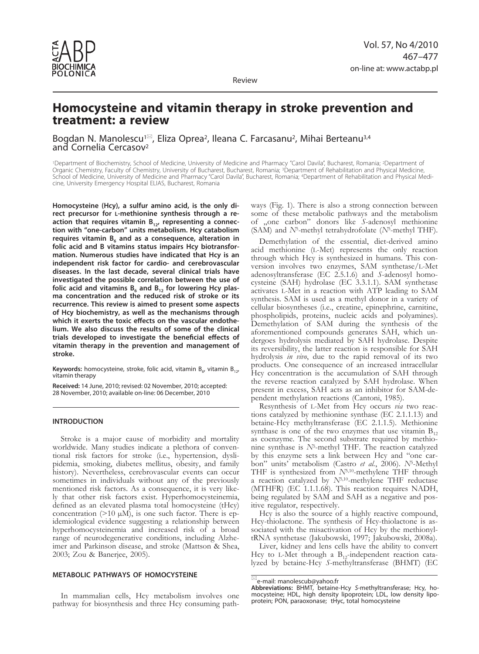

Review

# **Homocysteine and vitamin therapy in stroke prevention and treatment: a review**

Bogdan N. Manolescu<sup>1⊠</sup>, Eliza Oprea<sup>2</sup>, Ileana C. Farcasanu<sup>2</sup>, Mihai Berteanu<sup>3,4</sup> and Cornelia Cercasov<sup>2</sup>

1Department of Biochemistry, School of Medicine, University of Medicine and Pharmacy "Carol Davila", Bucharest, Romania; 2Department of Organic Chemistry, Faculty of Chemistry, University of Bucharest, Bucharest, Romania; 3Department of Rehabilitation and Physical Medicine, School of Medicine, University of Medicine and Pharmacy "Carol Davila", Bucharest, Romania; 4Department of Rehabilitation and Physical Medicine, University Emergency Hospital ELIAS, Bucharest, Romania

**Homocysteine (Hcy), a sulfur amino acid, is the only direct precursor for l-methionine synthesis through a re**action that requires vitamin B<sub>12</sub>, representing a connec**tion with "one-carbon" units metabolism. Hcy catabolism**  requires vitamin B<sub>6</sub> and as a consequence, alteration in **folic acid and B vitamins status impairs Hcy biotransformation. Numerous studies have indicated that Hcy is an independent risk factor for cardio- and cerebrovascular diseases. In the last decade, several clinical trials have investigated the possible correlation between the use of**  folic acid and vitamins  $B_6$  and  $B_{12}$  for lowering Hcy plas**ma concentration and the reduced risk of stroke or its recurrence. This review is aimed to present some aspects of Hcy biochemistry, as well as the mechanisms through which it exerts the toxic effects on the vascular endothelium. We also discuss the results of some of the clinical trials developed to investigate the beneficial effects of vitamin therapy in the prevention and management of stroke.**

**Keywords:** homocysteine, stroke, folic acid, vitamin  $B_{6}$ , vitamin  $B_{12}$ , vitamin therapy

**Received:** 14 June, 2010; revised: 02 November, 2010; accepted: 28 November, 2010; available on-line: 06 December, 2010

# **INTRODUCTION**

Stroke is a major cause of morbidity and mortality worldwide. Many studies indicate a plethora of conventional risk factors for stroke (i.e., hypertension, dyslipidemia, smoking, diabetes mellitus, obesity, and family history). Nevertheless, cerebrovascular events can occur sometimes in individuals without any of the previously mentioned risk factors. As a consequence, it is very likely that other risk factors exist. Hyperhomocysteinemia, defined as an elevated plasma total homocysteine (tHcy) concentration ( $>10 \mu M$ ), is one such factor. There is epidemiological evidence suggesting a relationship between hyperhomocysteinemia and increased risk of a broad range of neurodegenerative conditions, including Alzheimer and Parkinson disease, and stroke (Mattson & Shea, 2003; Zou & Banerjee, 2005).

# **Metabolic pathways of homocysteine**

In mammalian cells, Hcy metabolism involves one pathway for biosynthesis and three Hcy consuming path-

ways (Fig. 1). There is also a strong connection between some of these metabolic pathways and the metabolism of "one carbon" donors like *S*-adenosyl methionine (SAM) and *N*5-methyl tetrahydrofolate (*N*5-methyl THF).

Demethylation of the essential, diet-derived amino acid methionine (l-Met) represents the only reaction through which Hcy is synthesized in humans. This con-<br>version involves two enzymes, SAM synthetase/L-Met<br>adenosyltransferase (EC 2.5.1.6) and S-adenosyl homocysteine (SAH) hydrolase (EC 3.3.1.1). SAM synthetase activates l-Met in a reaction with ATP leading to SAM synthesis. SAM is used as a methyl donor in a variety of cellular biosyntheses (i.e., creatine, epinephrine, carnitine, phospholipids, proteins, nucleic acids and polyamines). Demethylation of SAM during the synthesis of the aforementioned compounds generates SAH, which undergoes hydrolysis mediated by SAH hydrolase. Despite its reversibility, the latter reaction is responsible for SAH hydrolysis *in vivo*, due to the rapid removal of its two products. One consequence of an increased intracellular Hcy concentration is the accumulation of SAH through the reverse reaction catalyzed by SAH hydrolase. When present in excess, SAH acts as an inhibitor for SAM-dependent methylation reactions (Cantoni, 1985).

Resynthesis of l-Met from Hcy occurs *via* two reactions catalyzed by methionine synthase (EC 2.1.1.13) and betaine-Hcy methyltransferase (EC 2.1.1.5). Methionine synthase is one of the two enzymes that use vitamin  $B_{12}$ as coenzyme. The second substrate required by methionine synthase is *N*5-methyl THF. The reaction catalyzed by this enzyme sets a link between Hcy and "one carbon" units' metabolism (Castro *et al.*, 2006). *N*5-Methyl THF is synthesized from *N*5,10-methylene THF through a reaction catalyzed by *N*5,10-methylene THF reductase (MTHFR) (EC 1.1.1.68). This reaction requires NADH, being regulated by SAM and SAH as a negative and positive regulator, respectively.

Hcy is also the source of a highly reactive compound, Hcy-thiolactone. The synthesis of Hcy-thiolactone is associated with the misactivation of Hcy by the methionyltRNA synthetase (Jakubowski, 1997; Jakubowski, 2008a).

Liver, kidney and lens cells have the ability to convert Hcy to L-Met through a  $B_{12}$ -independent reaction catalyzed by betaine-Hcy *S*-methyltransferase (BHMT) (EC

 $\mathbb{Z}_e$ -mail: manolescub@yahoo.fr

**Abbreviations:** BHMT, betaine-Hcy *S*-methyltransferase; Hcy, homocysteine; HDL, high density lipoprotein; LDL, low density lipoprotein; PON, paraoxonase; tHyc, total homocysteine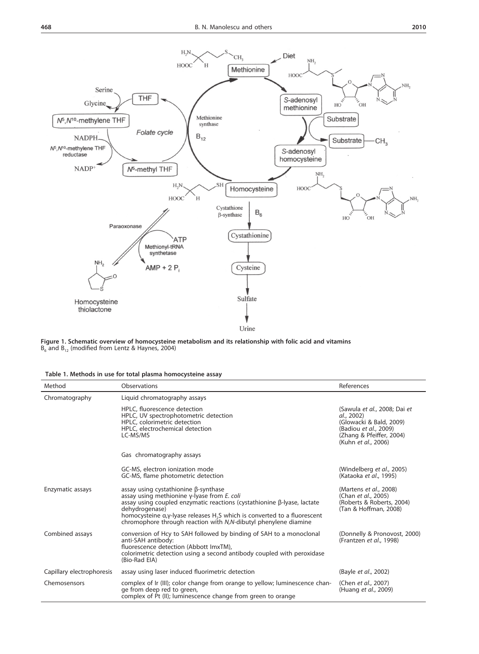



**Figure 1. Schematic overview of homocysteine metabolism and its relationship with folic acid and vitamins**  $B_6$  and  $B_{12}$  (modified from Lentz & Haynes, 2004)

|  |  |  |  |  |  | Table 1. Methods in use for total plasma homocysteine assay |  |
|--|--|--|--|--|--|-------------------------------------------------------------|--|
|--|--|--|--|--|--|-------------------------------------------------------------|--|

| Method                    | Observations                                                                                                                                                                                                                                                                                                                                               | References                                                                                                                                        |
|---------------------------|------------------------------------------------------------------------------------------------------------------------------------------------------------------------------------------------------------------------------------------------------------------------------------------------------------------------------------------------------------|---------------------------------------------------------------------------------------------------------------------------------------------------|
| Chromatography            | Liquid chromatography assays                                                                                                                                                                                                                                                                                                                               |                                                                                                                                                   |
|                           | HPLC, fluorescence detection<br>HPLC, UV spectrophotometric detection<br>HPLC, colorimetric detection<br>HPLC, electrochemical detection<br>LC-MS/MS                                                                                                                                                                                                       | (Sawula et al., 2008; Dai et<br>al., 2002)<br>(Glowacki & Bald, 2009)<br>(Badiou et al., 2009)<br>(Zhang & Pfeiffer, 2004)<br>(Kuhn et al., 2006) |
|                           | Gas chromatography assays                                                                                                                                                                                                                                                                                                                                  |                                                                                                                                                   |
|                           | GC-MS, electron ionization mode<br>GC-MS, flame photometric detection                                                                                                                                                                                                                                                                                      | (Windelberg et al., 2005)<br>(Kataoka et al., 1995)                                                                                               |
| Enzymatic assays          | assay using cystathionine $\beta$ -synthase<br>assay using methionine $\gamma$ -lyase from E. coli<br>assay using coupled enzymatic reactions (cystathionine β-lyase, lactate<br>dehydrogenase)<br>homocysteine a,y-lyase releases H <sub>2</sub> S which is converted to a fluorescent<br>chromophore through reaction with N,N-dibutyl phenylene diamine | (Martens et al., 2008)<br>(Chan et al., 2005)<br>(Roberts & Roberts, 2004)<br>(Tan & Hoffman, 2008)                                               |
| Combined assays           | conversion of Hcy to SAH followed by binding of SAH to a monoclonal<br>anti-SAH antibody:<br>fluorescence detection (Abbott ImxTM),<br>colorimetric detection using a second antibody coupled with peroxidase<br>(Bio-Rad EIA)                                                                                                                             | (Donnelly & Pronovost, 2000)<br>(Frantzen et al., 1998)                                                                                           |
| Capillary electrophoresis | assay using laser induced fluorimetric detection                                                                                                                                                                                                                                                                                                           | (Bayle et al., 2002)                                                                                                                              |
| Chemosensors              | complex of Ir (III); color change from orange to yellow; luminescence chan-<br>ge from deep red to green,<br>complex of Pt (II); luminescence change from green to orange                                                                                                                                                                                  | (Chen <i>et al.</i> , 2007)<br>(Huang <i>et al.</i> , 2009)                                                                                       |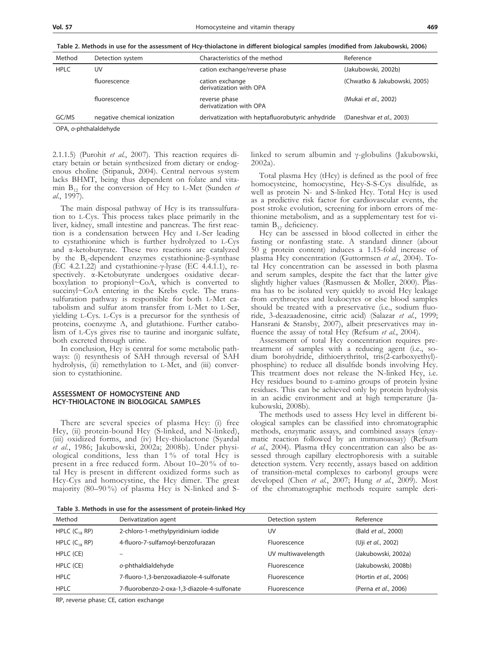| Method      | Detection system             | Characteristics of the method                    | Reference                    |
|-------------|------------------------------|--------------------------------------------------|------------------------------|
| <b>HPLC</b> | UV                           | cation exchange/reverse phase                    | (Jakubowski, 2002b)          |
|             | fluorescence                 | cation exchange<br>derivatization with OPA       | (Chwatko & Jakubowski, 2005) |
|             | fluorescence                 | reverse phase<br>derivatization with OPA         | (Mukai et al., 2002)         |
| GC/MS       | negative chemical ionization | derivatization with heptafluorobutyric anhydride | (Daneshvar et al., 2003)     |

OPA, *o*-phthalaldehyde

2.1.1.5) (Purohit *et al.*, 2007). This reaction requires dietary betain or betain synthesized from dietary or endogenous choline (Stipanuk, 2004). Central nervous system lacks BHMT, being thus dependent on folate and vitamin  $B_{12}$  for the conversion of Hcy to L-Met (Sunden  $et$ *al.*, 1997).

The main disposal pathway of Hcy is its transsulfura- tion to l-Cys. This process takes place primarily in the liver, kidney, small intestine and pancreas. The first reac- tion is a condensation between Hcy and l-Ser leading to cystathionine which is further hydrolyzed to l-Cys and α-ketobutyrate. These two reactions are catalyzed by the B<sub>6</sub>-dependent enzymes cystathionine-β-synthase (EC 4.2.1.22) and cystathionine-γ-lyase (EC 4.4.1.1), re-(EC 4.2.1.22) and cystathionine-γ-lyase (EC 4.4.1.1), respectively.  $\alpha$ -Ketobutyrate undergoes oxidative decar-<br>boxylation to propionyl~CoA, which is converted to succinyl~CoA entering in the Krebs cycle. The trans- sulfuration pathway is responsible for both l-Met ca- tabolism and sulfur atom transfer from l-Met to l-Ser, yielding l-Cys. l-Cys is a precursor for the synthesis of proteins, coenzyme A, and glutathione. Further catabolism of l-Cys gives rise to taurine and inorganic sulfate, both excreted through urine.

In conclusion, Hcy is central for some metabolic pathways: (i) resynthesis of SAH through reversal of SAH hydrolysis, (ii) remethylation to L-Met, and (iii) conversion to cystathionine.

### **Assessment of homocysteine and Hcy-thiolactone in biological samples**

There are several species of plasma Hcy: (i) free Hcy, (ii) protein-bound Hcy (S-linked, and N-linked), (iii) oxidized forms, and (iv) Hcy-thiolactone (Syardal *et al.*, 1986; Jakubowski, 2002a; 2008b). Under physiological conditions, less than 1 % of total Hcy is present in a free reduced form. About 10–20 % of total Hcy is present in different oxidized forms such as Hcy-Cys and homocystine, the Hcy dimer. The great majority (80–90 %) of plasma Hcy is N-linked and S-

linked to serum albumin and γ-globulins (Jakubowski, 2002a).

Total plasma Hcy (tHcy) is defined as the pool of free homocysteine, homocystine, Hcy-S-S-Cys disulfide, as well as protein N- and S-linked Hcy. Total Hcy is used as a predictive risk factor for cardiovascular events, the post stroke evolution, screening for inborn errors of me-<br>thionine metabolism, and as a supplementary test for vi-<br>tamin  $B_{12}$  deficiency.

Hcy can be assessed in blood collected in either the fasting or nonfasting state. A standard dinner (about 50 g protein content) induces a 1.15-fold increase of plasma Hcy concentration (Guttormsen *et al.*, 2004). To- tal Hcy concentration can be assessed in both plasma and serum samples, despite the fact that the latter give slightly higher values (Rasmussen & Moller, 2000). Plas- ma has to be isolated very quickly to avoid Hcy leakage from erythrocytes and leukocytes or else blood samples should be treated with a preservative (i.e., sodium fluo- ride, 3-deazaadenosine, citric acid) (Salazar *et al.*, 1999; Hansrani & Stansby, 2007), albeit preservatives may influence the assay of total Hcy (Refsum *et al.*, 2004).

Assessment of total Hcy concentration requires pretreatment of samples with a reducing agent (i.e., sodium borohydride, dithioerythritol, tris(2-carboxyethyl) phosphine) to reduce all disulfide bonds involving Hcy. This treatment does not release the N-linked Hcy, i.e. Hcy residues bound to ε-amino groups of protein lysine residues. This can be achieved only by protein hydrolysis in an acidic environment and at high temperature (Jakubowski, 2008b).

The methods used to assess Hcy level in different biological samples can be classified into chromatographic methods, enzymatic assays, and combined assays (enzymatic reaction followed by an immunoassay) (Refsum *et al.*, 2004). Plasma tHcy concentration can also be assessed through capillary electrophoresis with a suitable detection system. Very recently, assays based on addition of transition-metal complexes to carbonyl groups were developed (Chen *et al.*, 2007; Hung *et al.*, 2009). Most of the chromatographic methods require sample deri-

**Table 3. Methods in use for the assessment of protein-linked Hcy**

| Method             | Derivatization agent                        | Detection system   | Reference             |
|--------------------|---------------------------------------------|--------------------|-----------------------|
| HPLC $(C_{18}$ RP) | 2-chloro-1-methylpyridinium iodide          | UV                 | (Bald et al., 2000)   |
| HPLC $(C_{18}$ RP) | 4-fluoro-7-sulfamoyl-benzofurazan           | Fluorescence       | (Uji et al., 2002)    |
| HPLC (CE)          |                                             | UV multiwavelength | (Jakubowski, 2002a)   |
| HPLC (CE)          | o-phthaldialdehyde                          | Fluorescence       | (Jakubowski, 2008b)   |
| <b>HPLC</b>        | 7-fluoro-1,3-benzoxadiazole-4-sulfonate     | Fluorescence       | (Hortin et al., 2006) |
| <b>HPLC</b>        | 7-fluorobenzo-2-oxa-1,3-diazole-4-sulfonate | Fluorescence       | (Perna et al., 2006)  |

RP, reverse phase; CE, cation exchange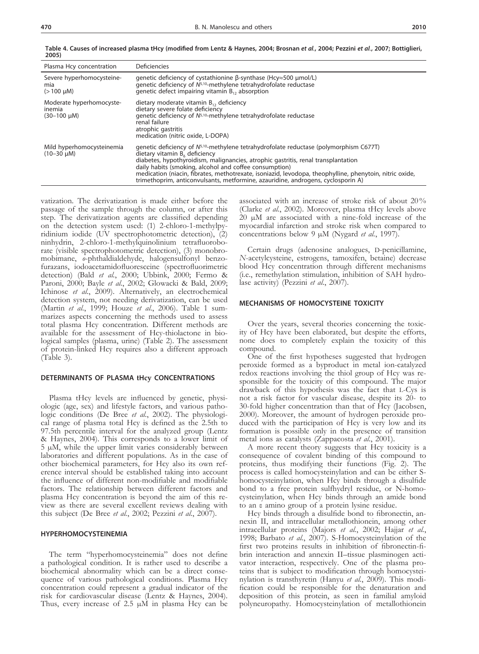| Plasma Hcy concentration                               | Deficiencies                                                                                                                                                                                                                                                                                                                                                                                                                                                               |
|--------------------------------------------------------|----------------------------------------------------------------------------------------------------------------------------------------------------------------------------------------------------------------------------------------------------------------------------------------------------------------------------------------------------------------------------------------------------------------------------------------------------------------------------|
| Severe hyperhomocysteine-<br>mia<br>$(>100 \mu M)$     | qenetic deficiency of cystathionine β-synthase (Hcy $\approx$ 500 μmol/L)<br>genetic deficiency of N <sup>5,10</sup> -methylene tetrahydrofolate reductase<br>genetic defect impairing vitamin $B_{12}$ absorption                                                                                                                                                                                                                                                         |
| Moderate hyperhomocyste-<br>inemia<br>$(30-100 \mu M)$ | dietary moderate vitamin $B_{12}$ , deficiency<br>dietary severe folate deficiency<br>genetic deficiency of $N^{5,10}$ -methylene tetrahydrofolate reductase<br>renal failure<br>atrophic gastritis<br>medication (nitric oxide, L-DOPA)                                                                                                                                                                                                                                   |
| Mild hyperhomocysteinemia<br>$(10-30 \mu M)$           | genetic deficiency of $N^{5,10}$ -methylene tetrahydrofolate reductase (polymorphism C677T)<br>dietary vitamin B, deficiency<br>diabetes, hypothyroidism, malignancies, atrophic gastritis, renal transplantation<br>daily habits (smoking, alcohol and coffee consumption)<br>medication (niacin, fibrates, methotrexate, isoniazid, levodopa, theophylline, phenytoin, nitric oxide,<br>trimethoprim, anticonvulsants, metformine, azauridine, androgens, cyclosporin A) |

**Table 4. Causes of increased plasma tHcy (modified from Lentz & Haynes, 2004; Brosnan** *et al.***, 2004; Pezzini** *et al.***, 2007; Bottiglieri, 2005)**

vatization. The derivatization is made either before the passage of the sample through the column, or after this step. The derivatization agents are classified depending<br>on the detection system used: (1) 2-chloro-1-methylpyridinium iodide (UV spectrophotometric detection), (2) ninhydrin, 2-chloro-1-methylquinolinium tetrafluoroborate (visible spectrophotometric detection), (3) monobro-<br>mobimane, *o*-phthaldialdehyde, halogensulfonyl benzo-<br>furazans, iodoacetamidofluoresceine (spectrofluorimetric detection) (Bald *et al.*, 2000; Ubbink, 2000; Fermo & Paroni, 2000; Bayle *et al.*, 2002; Glowacki & Bald, 2009; Ichinose *et al.*, 2009). Alternatively, an electrochemical detection system, not needing derivatization, can be used (Martin *et al.*, 1999; Houze *et al.*, 2006). Table 1 sum-<br>marizes aspects concerning the methods used to assess total plasma Hcy concentration. Different methods are available for the assessment of Hcy-thiolactone in bio- logical samples (plasma, urine) (Table 2). The assessment of protein-linked Hcy requires also a different approach (Table 3).

## **Determinants of plasma tHcy concentrations**

Plasma tHcy levels are influenced by genetic, physiologic (age, sex) and lifestyle factors, and various pathologic conditions (De Bree *et al.*, 2002). The physiological range of plasma total Hcy is defined as the 2.5th to 97.5th percentile interval for the analyzed group (Lentz & Haynes, 2004). This corresponds to a lower limit of 5 µM, while the upper limit varies considerably between laboratories and different populations. As in the case of other biochemical parameters, for Hcy also its own reference interval should be established taking into account the influence of different non-modifiable and modifiable factors. The relationship between different factors and plasma Hcy concentration is beyond the aim of this review as there are several excellent reviews dealing with this subject (De Bree *et al.*, 2002; Pezzini *et al.*, 2007).

# **Hyperhomocysteinemia**

The term "hyperhomocysteinemia" does not define a pathological condition. It is rather used to describe a biochemical abnormality which can be a direct conse- quence of various pathological conditions. Plasma Hcy concentration could represent a gradual indicator of the risk for cardiovascular disease (Lentz & Haynes, 2004). Thus, every increase of 2.5  $\mu$ M in plasma Hcy can be associated with an increase of stroke risk of about 20% (Clarke *et al.*, 2002). Moreover, plasma tHcy levels above 20 µM are associated with a nine-fold increase of the myocardial infarction and stroke risk when compared to concentrations below 9 µM (Nygard *et al.*, 1997).

Certain drugs (adenosine analogues, D-penicillamine, *N*-acetylcysteine, estrogens, tamoxifen, betaine) decrease blood Hcy concentration through different mechanisms (i.e., remethylation stimulation, inhibition of SAH hydrolase activity) (Pezzini *et al.*, 2007).

## **Mechanisms of homocysteine toxicity**

Over the years, several theories concerning the toxic- ity of Hcy have been elaborated, but despite the efforts, none does to completely explain the toxicity of this compound.

One of the first hypotheses suggested that hydrogen peroxide formed as a byproduct in metal ion-catalyzed redox reactions involving the thiol group of Hcy was re- sponsible for the toxicity of this compound. The major drawback of this hypothesis was the fact that l-Cys is not a risk factor for vascular disease, despite its 20- to 30-fold higher concentration than that of Hcy (Jacobsen, 2000). Moreover, the amount of hydrogen peroxide produced with the participation of Hcy is very low and its formation is possible only in the presence of transition metal ions as catalysts (Zappacosta *et al.*, 2001).

A more recent theory suggests that Hcy toxicity is a consequence of covalent binding of this compound to proteins, thus modifying their functions (Fig. 2). The process is called homocysteinylation and can be either Shomocysteinylation, when Hcy binds through a disulfide bond to a free protein sulfhydryl residue, or N-homocysteinylation, when Hcy binds through an amide bond to an ε amino group of a protein lysine residue.

Hcy binds through a disulfide bond to fibronectin, an-<br>nexin II, and intracellular metallothionein, among other intracellular proteins (Majors *et al.*, 2002; Hajjar *et al.*, 1998; Barbato *et al.*, 2007). S-Homocysteinylation of the first two proteins results in inhibition of fibronectin-fi-<br>brin interaction and annexin II-tissue plasminogen acti-<br>vator interaction, respectively. One of the plasma pro-<br>teins that is subject to modification through ho deposition of this protein, as seen in familial amyloid polyneuropathy. Homocysteinylation of metallothionein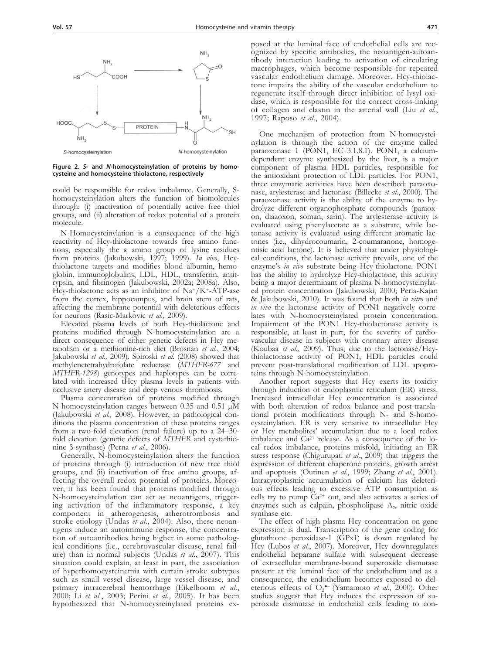

**Figure 2.** *S***- and** *N***-homocysteinylation of proteins by homocysteine and homocysteine thiolactone, respectively**

could be responsible for redox imbalance. Generally, Shomocysteinylation alters the function of biomolecules through: (i) inactivation of potentially active free thiol groups, and (ii) alteration of redox potential of a protein molecule.

N-Homocysteinylation is a consequence of the high reactivity of Hcy-thiolactone towards free amino functions, especially the ε amino group of lysine residues from proteins (Jakubowski, 1997; 1999). *In vivo*, Hcythiolactone targets and modifies blood albumin, hemoglobin, immunoglobulins, LDL, HDL, transferrin, antitrypsin, and fibrinogen (Jakubowski, 2002a; 2008a). Also, Hcy-thiolactone acts as an inhibitor of Na+/K+-ATP-ase from the cortex, hippocampus, and brain stem of rats, affecting the membrane potential with deleterious effects for neurons (Rasic-Markovic *et al.,* 2009).

Elevated plasma levels of both Hcy-thiolactone and proteins modified through N-homocysteinylation are a direct consequence of either genetic defects in Hcy me- tabolism or a methionine-rich diet (Brosnan *et al.*, 2004; Jakubowski *et al.,* 2009). Spiroski *et al.* (2008) showed that methylenetetrahydrofolate reductase (*MTHFR-677* and *MTHFR-1298*) genotypes and haplotypes can be correlated with increased tHcy plasma levels in patients with occlusive artery disease and deep venous thrombosis.

Plasma concentration of proteins modified through N-homocysteinylation ranges between 0.35 and 0.51 µM (Jakubowski *et al.,* 2008). However, in pathological conditions the plasma concentration of these proteins ranges from a two-fold elevation (renal failure) up to a 24–30 fold elevation (genetic defects of *MTHFR* and cystathionine β-synthase) (Perna *et al.*, 2006).

Generally, N-homocysteinylation alters the function of proteins through (i) introduction of new free thiol groups, and (ii) inactivation of free amino groups, affecting the overall redox potential of proteins. Moreover, it has been found that proteins modified through N-homocysteinylation can act as neoantigens, triggering activation of the inflammatory response, a key component in atherogenesis, atherotrombosis and stroke etiology (Undas *et al.*, 2004). Also, these neoan-<br>tigens induce an autoimmune response, the concentra-<br>tion of autoantibodies being higher in some patholog-<br>ical conditions (i.e., cerebrovascular disease, renal f situation could explain, at least in part, the association of hyperhomocysteinemia with certain stroke subtypes such as small vessel disease, large vessel disease, and primary intracerebral hemorrhage (Eikelboom *et al.*, 2000; Li *et al.*, 2003; Perini *et al.*, 2005). It has been hypothesized that N-homocysteinylated proteins ex-

posed at the luminal face of endothelial cells are recognized by specific antibodies, the neoantigen-autoantibody interaction leading to activation of circulating macrophages, which become responsible for repeated vascular endothelium damage. Moreover, Hcy-thiolac- tone impairs the ability of the vascular endothelium to regenerate itself through direct inhibition of lysyl oxidase, which is responsible for the correct cross-linking of collagen and elastin in the arterial wall (Liu *et al.*, 1997; Raposo *et al.*, 2004).

One mechanism of protection from N-homocysteinylation is through the action of the enzyme called paraoxonase 1 (PON1, EC 3.1.8.1). PON1, a calciumdependent enzyme synthesized by the liver, is a major component of plasma HDL particles, responsible for the antioxidant protection of LDL particles. For PON1, three enzymatic activities have been described: paraoxonase, arylesterase and lactonase (Billecke *et al.*, 2000). The paraoxonase activity is the ability of the enzyme to hydrolyze different organophosphate compounds (paraoxon, diazoxon, soman, sarin). The arylesterase activity is evaluated using phenylacetate as a substrate, while lac- tonase activity is evaluated using different aromatic lactones (i.e., dihydrocoumarin, 2-coumaranone, homogentisic acid lactone). It is believed that under physiological conditions, the lactonase activity prevails, one of the enzyme's *in vivo* substrate being Hcy-thiolactone. PON1 has the ability to hydrolyze Hcy-thiolactone, this activity being a major determinant of plasma N-homocysteinylated protein concentration (Jakubowski, 2000; Perla-Kajan & Jakubowski, 2010). It was found that both *in vitro* and *in vivo* the lactonase activity of PON1 negatively correlates with N-homocysteinylated protein concentration. Impairment of the PON1 Hcy-thiolactonase activity is responsible, at least in part, for the severity of cardio- vascular disease in subjects with coronary artery disease (Koubaa *et al.*, 2009). Thus, due to the lactonase/Hcythiolactonase activity of PON1, HDL particles could prevent post-translational modification of LDL apopro- teins through N-homocysteinylation.

Another report suggests that Hcy exerts its toxicity through induction of endoplasmic reticulum (ER) stress. Increased intracellular Hcy concentration is associated with both alteration of redox balance and post-translational protein modifications through N- and S-homocysteinylation. ER is very sensitive to intracellular Hcy or Hcy metabolites' accumulation due to a local redox imbalance and  $Ca^{2+}$  release. As a consequence of the local redox imbalance, proteins misfold, initiating an ER stress response (Chigurupati *et al.*, 2009) that triggers the expression of different chaperone proteins, growth arrest and apoptosis (Outinen *et al.*, 1999; Zhang *et al.*, 2001). Intracytoplasmic accumulation of calcium has deleterious effects leading to excessive ATP consumption as cells try to pump Ca2+ out, and also activates a series of enzymes such as calpain, phospholipase  $A_2$ , nitric oxide synthase etc.

The effect of high plasma Hcy concentration on gene expression is dual. Transcription of the gene coding for glutathione peroxidase-1 (GPx1) is down regulated by Hcy (Lubos *et al.*, 2007). Moreover, Hcy downregulates endothelial heparane sulfate with subsequent decrease of extracellular membrane-bound superoxide dismutase present at the luminal face of the endothelium and as a consequence, the endothelium becomes exposed to del-<br>eterious effects of O<sub>2</sub><sup>•</sup> (Yamamoto *et al.*, 2000). Other studies suggest that Hcy induces the expression of su- peroxide dismutase in endothelial cells leading to con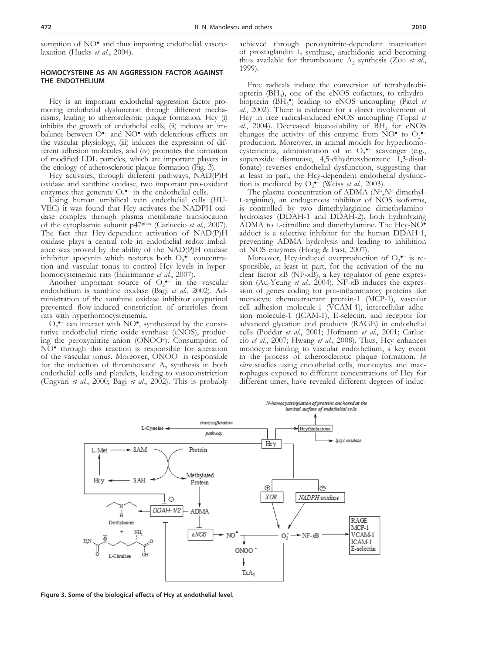sumption of NO<sup>•</sup> and thus impairing endothelial vasore-laxation (Hucks *et al.*, 2004).

# **Homocysteine as an aggression factor against the endothelium**

Hcy is an important endothelial aggression factor pro-<br>moting endothelial dysfunction through different mecha-<br>nisms, leading to atherosclerotic plaque formation. Hcy (i) inhibits the growth of endothelial cells, (ii) induces an imbalance between O<sup>o-</sup> and NO<sup>o</sup> with deleterious effects on the vascular physiology, (iii) induces the expression of different adhesion molecules, and (iv) promotes the formation of modified LDL particles, which are important players in the etiology of atherosclerotic plaque formation (Fig. 3).

Hcy activates, through different pathways, NAD(P)H oxidase and xanthine oxidase, two important pro-oxidant enzymes that generate  $O_2$ <sup> $\bullet$ -</sup> in the endothelial cells.

Using human umbilical vein endothelial cells (HU-VEC) it was found that Hcy activates the NADPH oxidase complex through plasma membrane translocation of the cytoplasmic subunit p47phox (Carluccio *et al.*, 2007). The fact that Hcy-dependent activation of NAD(P)H oxidase plays a central role in endothelial redox imbalance was proved by the ability of the NAD(P)H oxidase inhibitor apocynin which restores both  $O_2$ <sup>•-</sup> concentration and vascular tonus to control Hcy levels in hyperhomocysteinemic rats (Edirimanne *et al.*, 2007).

Another important source of  $O_2$ <sup>-</sup> in the vascular endothelium is xanthine oxidase (Bagi *et al.*, 2002). Administration of the xanthine oxidase inhibitor oxypurinol prevented flow-induced constriction of arterioles from rats with hyperhomocysteinemia.

 $O_2$  can interact with NO<sup>•</sup>, synthesized by the constitutive endothelial nitric oxide synthase (eNOS), produc-<br>ing the peroxynitrite anion (ONOO–). Consumption of NO<sup>•</sup> through this reaction is responsible for alteration of the vascular tonus. Moreover, ONOO– is responsible for the induction of thromboxane  $A_2$  synthesis in both endothelial cells and platelets, leading to vasoconstriction (Ungvari *et al.*, 2000; Bagi *et al.*, 2002). This is probably achieved through peroxynitrite-dependent inactivation of prostaglandin I, synthase, arachidonic acid becoming thus available for thromboxane  $A_2$  synthesis (Zou *et al.*, 1999).

Free radicals induce the conversion of tetrahydrobiopterin (BH<sub>4</sub>), one of the eNOS cofactors, to trihydro-<br>biopterin (BH<sub>3</sub><sup>•</sup>) leading to eNOS uncoupling (Patel *et al.*, 2002). There is evidence for a direct involvement of Hcy in free radical-induced eNOS uncoupling (Topal *et*  al., 2004). Decreased bioavailability of BH<sub>4</sub> for eNOS changes the activity of this enzyme from NO $^{\bullet}$  to O<sub>2</sub> $^{\bullet}$ production. Moreover, in animal models for hyperhomocysteinemia, administration of an  $O_2$ <sup>•-</sup> scavenger (e.g., superoxide dismutase, 4,5-dihydroxybenzene 1,3-disulfonate) reverses endothelial dysfunction, suggesting that at least in part, the Hcy-dependent endothelial dysfunction is mediated by  $O_2^{\bullet-}$  (Weiss *et al.*, 2003).

The plasma concentration of ADMA (*N*ω,*N*ω-dimethyll-arginine), an endogenous inhibitor of NOS isoforms, is controlled by two dimethylarginine dimethylaminohydrolases (DDAH-1 and DDAH-2), both hydrolyzing ADMA to l-citrulline and dimethylamine. The Hcy-NO● adduct is a selective inhibitor for the human DDAH-1, preventing ADMA hydrolysis and leading to inhibition of NOS enzymes (Hong & Fast, 2007).

Moreover, Hcy-induced overproduction of  $O_2$ <sup>•-</sup> is responsible, at least in part, for the activation of the nuclear factor  $\alpha$ B (NF- $\alpha$ B), a key regulator of gene expression (Au-Yeung *et al.*, 2004). NF-κB induces the expression of genes coding for pro-inflammatory proteins like monocyte chemoatractant protein-1 (MCP-1), vascular cell adhesion molecule-1 (VCAM-1), intercellular adhesion molecule-1 (ICAM-1), E-selectin, and receptor for advanced glycation end products (RAGE) in endothelial cells (Poddar *et al.*, 2001; Hofmann *et al.*, 2001; Carluc- cio *et al.*, 2007; Hwang *et al.*, 2008). Thus, Hcy enhances monocyte binding to vascular endothelium, a key event in the process of atherosclerotic plaque formation. *In*  rophages exposed to different concentrations of Hcy for different times, have revealed different degrees of induc-



**Figure 3. Some of the biological effects of Hcy at endothelial level.**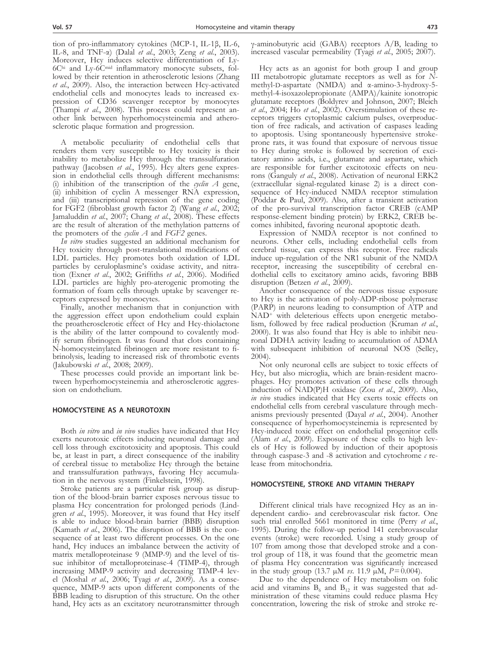tion of pro-inflammatory cytokines (MCP-1, IL-1β, IL-6, IL-8, and TNF-α) (Dalal *et al.*, 2003; Zeng *et al.*, 2003). Moreover, Hcy induces selective differentiation of Ly-6C<sup>hi</sup> and Ly-6C<sup>nid</sup> inflammatory monocyte subsets, followed by their retention in atherosclerotic lesions (Zhang *et al.*, 2009). Also, the interaction between Hcy-activated endothelial cells and monocytes leads to increased expression of CD36 scavenger receptor by monocytes (Thampi *et al.*, 2008). This process could represent an-<br>other link between hyperhomocysteinemia and athero-<br>sclerotic plaque formation and progression.

A metabolic peculiarity of endothelial cells that renders them very susceptible to Hcy toxicity is their inability to metabolize Hcy through the transsulfuration pathway (Jacobsen *et al.*, 1995). Hcy alters gene expression in endothelial cells through different mechanisms: (i) inhibition of the transcription of the *cyclin A* gene, (ii) inhibition of cyclin A messenger RNA expression, and (iii) transcriptional repression of the gene coding for FGF2 (fibroblast growth factor 2) (Wang *et al.*, 2002; Jamaluddin *et al.*, 2007; Chang *et al.*, 2008). These effects are the result of alteration of the methylation patterns of the promoters of the *cyclin A* and *FGF2* genes.

*In vitro* studies suggested an additional mechanism for Hcy toxicity through post-translational modifications of LDL particles. Hcy promotes both oxidation of LDL particles by ceruloplasmine's oxidase activity, and nitration (Exner *et al.*, 2002; Griffiths *et al.*, 2006). Modified LDL particles are highly pro-aterogenic promoting the formation of foam cells through uptake by scavenger receptors expressed by monocytes.

Finally, another mechanism that in conjunction with the aggression effect upon endothelium could explain the proatherosclerotic effect of Hcy and Hcy-thiolactone is the ability of the latter compound to covalently modify serum fibrinogen. It was found that clots containing N-homocysteinylated fibrinogen are more resistant to fibrinolysis, leading to increased risk of thrombotic events (Jakubowski *et al.*, 2008; 2009).

These processes could provide an important link between hyperhomocysteinemia and atherosclerotic aggression on endothelium.

## **Homocysteine as a neurotoxin**

Both *in vitro* and *in vivo* studies have indicated that Hcy exerts neurotoxic effects inducing neuronal damage and cell loss through excitotoxicity and apoptosis. This could be, at least in part, a direct consequence of the inability of cerebral tissue to metabolize Hcy through the betaine and transsulfuration pathways, favoring Hcy accumulation in the nervous system (Finkelstein, 1998).

Stroke patients are a particular risk group as disruption of the blood-brain barrier exposes nervous tissue to plasma Hcy concentration for prolonged periods (Lindgren *et al.*, 1995). Moreover, it was found that Hcy itself is able to induce blood-brain barrier (BBB) disruption (Kamath *et al.*, 2006). The disruption of BBB is the con-<br>sequence of at least two different processes. On the one hand, Hcy induces an imbalance between the activity of matrix metalloproteinase 9 (MMP-9) and the level of tis-<br>sue inhibitor of metalloproteinase-4 (TIMP-4), through increasing MMP-9 activity and decreasing TIMP-4 lev-<br>el (Moshal *et al.*, 2006; Tyagi *et al.*, 2009). As a conse-<br>quence, MMP-9 acts upon different components of the BBB leading to disruption of this structure. On the other hand, Hcy acts as an excitatory neurotransmitter through

γ-aminobutyric acid (GABA) receptors A/B, leading to increased vascular permeability (Tyagi *et al.*, 2005; 2007).

Hcy acts as an agonist for both group I and group III metabotropic glutamate receptors as well as for *N*-<br>methyl-D-aspartate (NMDA) and α-amino-3-hydroxy-5methyl-4-isoxazolepropionate (AMPA)/kainite ionotropic glutamate receptors (Boldyrev and Johnson, 2007; Bleich *et al.*, 2004; Ho *et al.*, 2002). Overstimulation of these receptors triggers cytoplasmic calcium pulses, overproduction of free radicals, and activation of caspases leading to apoptosis. Using spontaneously hypertensive strokeprone rats, it was found that exposure of nervous tissue to Hcy during stroke is followed by secretion of excitatory amino acids, i.e., glutamate and aspartate, which are responsible for further excitotoxic effects on neurons (Ganguly *et al.*, 2008). Activation of neuronal ERK2 (extracellular signal-regulated kinase 2) is a direct consequence of Hcy-induced NMDA receptor stimulation (Poddar & Paul, 2009). Also, after a transient activation of the pro-survival transcription factor CREB (cAMP response-element binding protein) by ERK2, CREB becomes inhibited, favoring neuronal apoptotic death.

Expression of NMDA receptor is not confined to neurons. Other cells, including endothelial cells from cerebral tissue, can express this receptor. Free radicals induce up-regulation of the NR1 subunit of the NMDA receptor, increasing the susceptibility of cerebral endothelial cells to excitatory amino acids, favoring BBB disruption (Betzen *et al.*, 2009).

Another consequence of the nervous tissue exposure to Hcy is the activation of poly-ADP-ribose polymerase (PARP) in neurons leading to consumption of ATP and NAD<sup>+</sup> with deleterious effects upon energetic metabolism, followed by free radical production (Kruman *et al.*, 2000). It was also found that Hcy is able to inhibit neuronal DDHA activity leading to accumulation of ADMA with subsequent inhibition of neuronal NOS (Selley, 2004).

Not only neuronal cells are subject to toxic effects of Hcy, but also microglia, which are brain-resident macrophages. Hcy promotes activation of these cells through induction of NAD(P)H oxidase (Zou *et al.*, 2009). Also, *in vivo* studies indicated that Hcy exerts toxic effects on endothelial cells from cerebral vasculature through mechanisms previously presented (Dayal *et al.*, 2004). Another consequence of hyperhomocysteinemia is represented by Hcy-induced toxic effect on endothelial progenitor cells (Alam *et al.*, 2009). Exposure of these cells to high levels of Hcy is followed by induction of their apoptosis through caspase-3 and -8 activation and cytochrome *c* release from mitochondria.

### **Homocysteine, stroke and vitamin therapy**

Different clinical trials have recognized Hcy as an in- dependent cardio- and cerebrovascular risk factor. One such trial enrolled 5661 monitored in time (Perry *et al.*, 1995). During the follow-up period 141 cerebrovascular events (stroke) were recorded. Using a study group of 107 from among those that developed stroke and a con- trol group of 118, it was found that the geometric mean of plasma Hcy concentration was significantly increased in the study group (13.7  $\mu$ M *vs*. 11.9  $\mu$ M, *P* = 0.004).

Due to the dependence of Hcy metabolism on folic acid and vitamins  $B_6$  and  $B_{12}$  it was suggested that ad-<br>ministration of these vitamins could reduce plasma Hcy concentration, lowering the risk of stroke and stroke re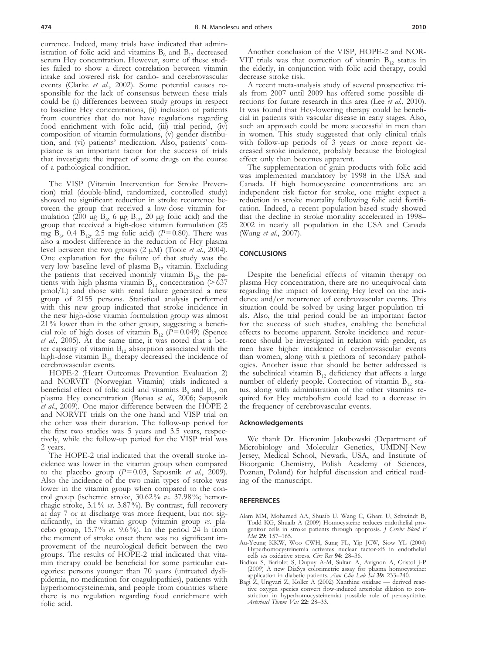currence. Indeed, many trials have indicated that administration of folic acid and vitamins  $B_6$  and  $B_{12}$  decreased serum Hcy concentration. However, some of these studies failed to show a direct correlation between vitamin intake and lowered risk for cardio- and cerebrovascular events (Clarke *et al.*, 2002). Some potential causes responsible for the lack of consensus between these trials could be (i) differences between study groups in respect to baseline Hcy concentrations, (ii) inclusion of patients from countries that do not have regulations regarding food enrichment with folic acid, (iii) trial period, (iv) composition of vitamin formulations, (v) gender distribution, and (vi) patients' medication. Also, patients' compliance is an important factor for the success of trials that investigate the impact of some drugs on the course of a pathological condition.

The VISP (Vitamin Intervention for Stroke Preven- tion) trial (double-blind, randomized, controlled study) showed no significant reduction in stroke recurrence be-<br>tween the group that received a low-dose vitamin for-<br>mulation (200 µg B<sub>6</sub>, 6 µg B<sub>12</sub>, 20 µg folic acid) and the group that received a high-dose vitamin formulation (25 mg  $\hat{B}_{6}$ , 0.4  $B_{12}$ , 2.5 mg folic acid) (*P*=0.80). There was also a modest difference in the reduction of Hcy plasma level between the two groups (2 µM) (Toole *et al.*, 2004). One explanation for the failure of that study was the very low baseline level of plasma  $B_{12}$  vitamin. Excluding the patients that received monthly vitamin  $B_{12}$ , the patients with high plasma vitamin  $B_{12}$  concentration (>637 pmol/L) and those with renal failure generated a new group of 2155 persons. Statistical analysis performed with this new group indicated that stroke incidence in the new high-dose vitamin formulation group was almost 21% lower than in the other group, suggesting a beneficial role of high doses of vitamin  $B_{12}$  ( $P=0.049$ ) (Spence *et al.*, 2005). At the same time, it was noted that a better capacity of vitamin  $B_{12}$  absorption associated with the high-dose vitamin  $B_{12}$  therapy decreased the incidence of cerebrovascular events.

HOPE-2 (Heart Outcomes Prevention Evaluation 2) and NORVIT (Norwegian Vitamin) trials indicated a beneficial effect of folic acid and vitamins  $B_6$  and  $B_{12}$  on plasma Hcy concentration (Bønaa *et al.*, 2006; Saposnik *et al.*, 2009). One major difference between the HOPE-2 and NORVIT trials on the one hand and VISP trial on the other was their duration. The follow-up period for the first two studies was 5 years and 3.5 years, respectively, while the follow-up period for the VISP trial was 2 years.

The HOPE-2 trial indicated that the overall stroke incidence was lower in the vitamin group when compared to the placebo group  $(P=0.03,$  Saposnik *et al.*, 2009). Also the incidence of the two main types of stroke was lower in the vitamin group when compared to the control group (ischemic stroke, 30.62% *vs*. 37.98%; hemorrhagic stroke, 3.1% *vs*. 3.87%). By contrast, full recovery at day 7 or at discharge was more frequent, but not significantly, in the vitamin group (vitamin group *vs*. placebo group, 15.7% *vs*. 9.6%). In the period 24 h from the moment of stroke onset there was no significant improvement of the neurological deficit between the two groups. The results of HOPE-2 trial indicated that vitamin therapy could be beneficial for some particular categories: persons younger than 70 years (untreated dyslipidemia, no medication for coagulopathies), patients with hyperhomocysteinemia, and people from countries where there is no regulation regarding food enrichment with folic acid.

Another conclusion of the VISP, HOPE-2 and NOR-VIT trials was that correction of vitamin  $B_{12}$  status in the elderly, in conjunction with folic acid therapy, could

decrease stroke risk.<br>A recent meta-analysis study of several prospective trials from 2007 until 2009 has offered some possible di-<br>rections for future research in this area (Lee *et al.*, 2010). It was found that Hcy-lowering therapy could be benefi- cial in patients with vascular disease in early stages. Also, such an approach could be more successful in men than in women. This study suggested that only clinical trials with follow-up periods of 3 years or more report decreased stroke incidence, probably because the biological effect only then becomes apparent.

The supplementation of grain products with folic acid was implemented mandatory by 1998 in the USA and Canada. If high homocysteine concentrations are an independent risk factor for stroke, one might expect a cation. Indeed, a recent population-based study showed that the decline in stroke mortality accelerated in 1998– 2002 in nearly all population in the USA and Canada (Wang *et al.*, 2007).

## **CONCLUSIONS**

Despite the beneficial effects of vitamin therapy on plasma Hcy concentration, there are no unequivocal data regarding the impact of lowering Hcy level on the inci- dence and/or recurrence of cerebrovascular events. This situation could be solved by using larger population tri- als. Also, the trial period could be an important factor for the success of such studies, enabling the beneficial effects to become apparent. Stroke incidence and recurrence should be investigated in relation with gender, as men have higher incidence of cerebrovascular events than women, along with a plethora of secondary pathologies. Another issue that should be better addressed is the subclinical vitamin  $B_{12}$  deficiency that affects a large number of elderly people. Correction of vitamin  $B_{12}$  status, along with administration of the other vitamins required for Hcy metabolism could lead to a decrease in the frequency of cerebrovascular events.

#### **Acknowledgements**

We thank Dr. Hieronim Jakubowski (Department of Microbiology and Molecular Genetics, UMDNJ-New Jersey, Medical School, Newark, USA, and Institute of Bioorganic Chemistry, Polish Academy of Sciences, Poznan, Poland) for helpful discussion and critical reading of the manuscript.

## **REFERENCES**

- Alam MM, Mohamed AA, Shuaib U, Wang C, Ghani U, Schwindt B, Todd KG, Shuaib A (2009) Homocysteine reduces endothelial progenitor cells in stroke patients through apoptosis. *J Cerebr Blood F Met* **29:** 157–165.
- Au-Yeung KKW, Woo CWH, Sung FL, Yip JCW, Siow YL (2004) Hyperhomocysteinemia activates nuclear factor-κB in endothelial cells *via* oxidative stress. *Circ Res* **94:** 28–36.
- Badiou S, Bariolet S, Dupuy A-M, Sultan A, Avignon A, Cristol J-P (2009) A new DiaSys colorimetric assay for plasma homocysteine**:**
- application in diabetic patients. *Ann Clin Lab Sci* **39:** 233–240. Bagi Z, Ungvari Z, Koller A (2002) Xanthine oxidase derived reactive oxygen species convert flow-induced arteriolar dilation to constriction in hyperhomocysteinemia**:** possible role of peroxynitrite. *Arterioscl Throm Vas* **22:** 28–33.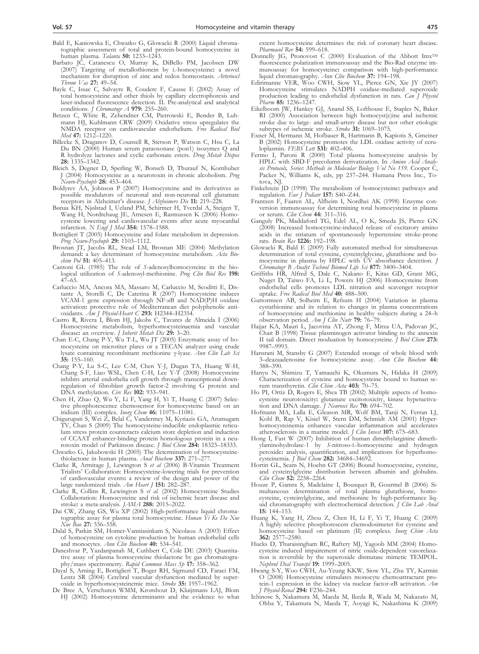- Bald E, Kaniowska E, Chwatko G, Glowacki R (2000) Liquid chromatographic assessment of total and protein-bound homocysteine in human plasma. *Talanta* **50:** 1233–1243.
- Barbato JC, Catanescu O, Murray K, DiBello PM, Jacobsen DW (2007) Targeting of metallothionein by l-homocysteine**:** a novel mechanism for disruption of zinc and redox homeostasis. *Arterioscl Throm Vas* **27:** 49–54.
- Bayle C, Issac C, Salvayre R, Couderc F, Causse E (2002) Assay of total homocysteine and other thiols by capillary electrophoresis and laser-induced fluorescence detection. II. Pre-analytical and analytical conditions. *J Chromatogr A* **979:** 255–260.
- Betzen C, White R, Zehendner CM, Pietrowski E, Bender B, Luhmann HJ, Kuhlmann CRW (2009) Oxidative stress upregulates the NMDA receptor on cardiovascular endothelium. *Free Radical Biol Med* **47:** 1212–1220.
- Billecke S, Draganov D, Counsell R, Stetson P, Watson C, Hsu C, La Du BN (2000) Human serum paraoxonase (pon1) isozymes Q and R hydrolyze lactones and cyclic carbonate esters. *Drug Metab Dispos* **28:** 1335–1342.
- Bleich S, Degner D, Sperling W, Bonsch D, Thurauf N, Kornhuber J (2004) Homocysteine as a neurotoxin in chronic alcoholism. *Prog Neuro-Psychoph* **28:** 453–464.
- Boldyrev AA, Johnson P (2007) Homocysteine and its derivatives as possible modulators of neuronal and non-neuronal cell glutamate receptors in Alzheimer's disease. *J Alzheimers Dis* **11:** 219–228.
- Bønaa KH, Njølstad I, Ueland PM, Schirmer H, Tverdal A, Steigen T, Wang H, Nordrehaug JE, Arnesen E, Rasmussen K (2006) Homocysteine lowering and cardiovascular events after acute myocardial infarction. *N Engl J Med* **354:** 1578–1588.
- Bottiglieri T (2005) Homocysteine and folate metabolism in depression. *Prog Neuro-Psychoph* **29:** 1103–1112.
- Brosnan JT, Jacobs RL, Stead LM, Brosnan ME (2004) Methylation demand**:** a key determinant of homocysteine metabolism. *Acta Biochim Pol* **51:** 405–413.
- Cantoni GL (1985) The role of *S*-adenosylhomocysteine in the biological utilization of *S*-adenosyl-methionine. *Prog Clin Biol Res* **198:**  $47-65$ .
- Carluccio MA, Ancora MA, Massaro M, Carluccio M, Scoditti E, Distante A, Storelli C, De Caterina R (2007) Homocysteine induces VCAM-1 gene expression through NF-κB and NAD(P)H oxidase activation**:** protective role of Mediterranean diet polyphenolic antioxidants. *Am J Physiol-Heart C* **293:** H2344–H2354.
- Castro R, Rivera I, Blom HJ, Jakobs C, Tavares de Almeida I (2006) Homocysteine metabolism, hyperhomocysteinaemia and vascular disease**:** an overview. *J Inherit Metab Dis* **29:** 3–20.
- Chan E-C, Chang P-Y, Wu T-L, Wu JT (2005) Enzymatic assay of homocysteine on microtiter plates or a TECAN analyzer using crude lysate containing recombinant methionine γ-lyase. *Ann Clin Lab Sci* **35:** 155–160.
- Chang P-Y, Lu S-C, Lee C-M, Chen Y-J, Dugan TA, Huang W-H, Chang S-F, Liao WSL, Chen C-H, Lee Y-T (2008) Homocysteine inhibits arterial endothelia cell growth through transcriptional downregulation of fibroblast growth factor-2 involving G protein and DNA methylation. *Circ Res* **102:** 933–941.
- Chen H, Zhao Q, Wu Y, Li F, Yang H, Yi T, Huang C (2007) Selective phosphorescence chemosensor for homocysteine based on an iridium (III) complex. *Inorg Chem* **46:** 11075–11081.
- Chigurupati S, Wei Z, Belal C, Vandermey M, Kyriazis GA, Arumugam TV, Chan S (2009) The homocysteine-inducible endoplasmic reticulum stress protein counteracts calcium store depletion and induction of CCAAT enhancer-binding protein homologous protein in a neurotoxin model of Parkinson disease. *J Biol Chem* **284:** 18323–18333.
- Chwatko G, Jakubowski H (2005) The determination of homocysteinethiolactone in human plasma. *Anal Biochem* **337:** 271–277.
- Clarke R, Armitage J, Lewington S *et al* (2006) B-Vitamin Treatment Trialists' Collaboration: Homocysteine-lowering trials for prevention of cardiovascular events**:** a review of the design and power of the large randomized trials. *Am Heart J* **151:** 282–287.
- Clarke R, Collins R, Lewington S *et al.* (2002) Homocysteine Studies Collaboration: Homocysteine and risk of ischemic heart disease and stroke**:** a meta-analysis. *JAMA* **288:** 2015–2022.
- Dai CW, Zhang GS, Wu XP (2002) High-performance liquid chromatographic assay for plasma total homocysteine. *Hunan Yi Ke Da Xue Xue Bao* **27:** 556–558.
- Dalal S, Parkin SM, Homer-Vanniasinkam S, Nicolaou A (2003) Effect of homocysteine on cytokine production by human endothelial cells and monocytes. *Ann Clin Biochem* **40:** 534–541.
- Daneshvar P, Yazdanpanah M, Cuthbert C, Cole DE (2003) Quantitative assay of plasma homocysteine thiolactone by gas chromatography/mass spectrometry. *Rapid Commun Mass Sp* **17:** 358–362.
- Dayal S, Arning E, Bottiglieri T, Boger RH, Sigmund CD, Faraci FM, Lentz SR (2004) Cerebral vascular dysfunction mediated by superoxide in hyperhomocysteinemic mice. *Stroke* **35:** 1957–1962.
- De Bree A, Verschuren WMM, Kromhout D, Kluijtmans LAJ, Blom HJ (2002) Homocysteine determinants and the evidence to what

extent homocysteine determines the risk of coronary heart disease. *Pharmacol Rev* **54:** 599–618.

- Donnelly JG, Pronovost C (2000) Evaluation of the Abbott Imx<sup>TM</sup> fluorescence polarization immunoassay and the Bio-Rad enzyme immunoassay for homocysteine**:** comparison with high-performance liquid chromatography. *Ann Clin Biochem* **37:** 194–198.
- Edirimanne VER, Woo CWH, Siow YL, Pierce GN, Xie JY (2007) Homocysteine stimulates NADPH oxidase-mediated superoxide production leading to endothelial dysfunction in rats. *Can J Physiol Pharm* **85:** 1236–1247.
- Eikelboom JW, Hankey GJ, Anand SS, Lofthouse E, Staples N, Baker RI (2000) Association between high homocyst(e)ine and ischemic stroke due to large- and small-artery disease but not other etiologic subtypes of ischemic stroke. *Stroke* **31:** 1069–1075.
- Exner M, Hermann M, Hofbauer R, Hartmann B, Kapiotis S, Gmeiner B (2002) Homocysteine promotes the LDL oxidase activity of ceruloplasmin. *FEBS Lett* **531:** 402–406.
- Fermo I, Paroni R (2000) Total plasma homocysteine analysis by HPLC with SBD-F precolumn derivatization. In *Amino Acid Analysis Protocols, Series*: *Methods in Molecular Biology Vol No 159*. Cooper C, Packer N, Williams K, eds, pp 237–244. Humana Press Inc., Totova, NJ.
- Finkelstein JD (1998) The metabolism of homocysteine**:** pathways and regulation. *Eur J Pediatr* **157:** S40–Z44.
- Frantzen F, Faaren AL, Alfheim I, Nordhei AK (1998) Enzyme conversion immunoassay for determining total homocysteine in plasma or serum. *Clin Chem* **44:** 311–316.
- Ganguly PK, Maddaford TG, Edel AL, O K, Smeda JS, Pierce GN (2008) Increased homocysteine-induced release of excitatory amino acids in the striatum of spontaneously hypertensine stroke-prone rats. *Brain Res* **1226:** 192–198.
- Glowacki R, Bald E (2009) Fully automated method for simultaneous determination of total cysteine, cysteinylglycine, glutathione and homocysteine in plasma by HPLC with UV absorbance detection. *J Chromatogr B Analyt Technol Biomed Life Sci* **877:** 3400–3404.
- Griffiths HR, Alfred S, Dale C, Nakano E, Kitas GD, Grant MG, Nuget D, Taiwo FA, Li L, Powers HJ (2006) Homocysteine from endothelial cells promotes LDL nitration and scavenger receptor uptake. *Free Radical Biol Med* **40:** 488–500.
- Guttormsen AB, Solheim E, Refsum H (2004) Variation in plasma cystathionine and its relation to changes in plasma concentrations of homocysteine and methionine in healthy subjects during a 24–h observation period. *Am J Clin Nutr* **79:** 76–79.
- Hajjar KA, Mauri L, Jacovina AT, Zhong F, Mirza UA, Padovan JC, Chait B (1998) Tissue plasminogen activator binding to the annexin II tail domain. Direct moduation by homocysteine. *J Biol Chem* **273:** 9987–9993.
- Hansrani M, Stansby G (2007) Extended storage of whole blood with 3–deazaadenosine for homocysteine assay. *Ann Clin Biochem* **44:** 388–390.
- Hanyu N, Shimizu T, Yamauchi K, Okumura N, Hidaka H (2009) Characterization of cysteine and homocysteine bound to human serum transthyretin. *Clin Chim Acta* **403:** 70–75.
- Ho PI, Ortiz D, Rogers E, Shea TB (2002) Multiple aspects of homocysteine neurotoxicity**:** glutamate excitotoxicity, kinase hyperactivation and DNA damage. *J Neurosci Res* **70:** 694–702. Hofmann MA, Lalla E, Gleason MR, Wolf BM, Tanji N, Ferran LJ,
- Kohl B, Rap V, Kisiel W, Stern DM, Schmidt AM (2001) Hyperhomocysteinemia enhances vascular inflammation and accelerates atherosclerosis in a murine model. *J Clin Invest* **107:** 675–683.
- Hong I, Fast W (2007) Inhibition of human dimethylarginine dimethylaminohydrolase-1 by *S*-nitroso-l-homocysteine and hydrogen peroxide**:** analysis, quantification, and implications for hyperhomo-
- cysteinemia. *J Biol Chem* **282:** 34684–34692. Hortin GL, Seam N, Hoehn GT (2006) Bound homocysteine, cysteine, and cysteinylglycine distribution between albumin and globulins. *Clin Chem* **52:** 2258–2264.
- Houze P, Gamra S, Madelaine I, Bousquet B, Gourmel B (2006) Simultaneous determination of total plasma glutathione, homocysteine, cysteinylglycine, and methionine by high-performance liquid chromatography with electrochemical detection. *J Clin Lab Anal* **15:** 144–153.
- Huang K, Yang H, Zhou Z, Chen H, Li F, Yi T, Huang C (2009) A highly selective phosphorescent chemodosimeter for cysteine and homocysteine based on platinum (II) complexs. *Inorg Chim Acta* **362:** 2577–2580.
- Hucks D, Thuraisingham RC, Raftery MJ, Yagoob MM (2004) Homocysteine induced impairement of nitric oxide-dependent vasorelaxation is reversible by the superoxide dismutase mimetic TEMPOL. *Nephrol Dial Transpl* **19:** 1999–2005.
- Hwang S-Y, Woo CWH, Au-Yeung KKW, Siow YL, Zhu TY, Karmin O (2008) Homocysteine stimulates monocyte chemoattractant protein-1 expression in the kidney via nuclear factor-κB activation. *Am J Physiol-Renal* **294:** F236–244.
- Ichinose S, Nakamura M, Maeda M, Ikeda R, Wada M, Nakazato M, Ohba Y, Takamura N, Maeda T, Aoyagi K, Nakashima K (2009)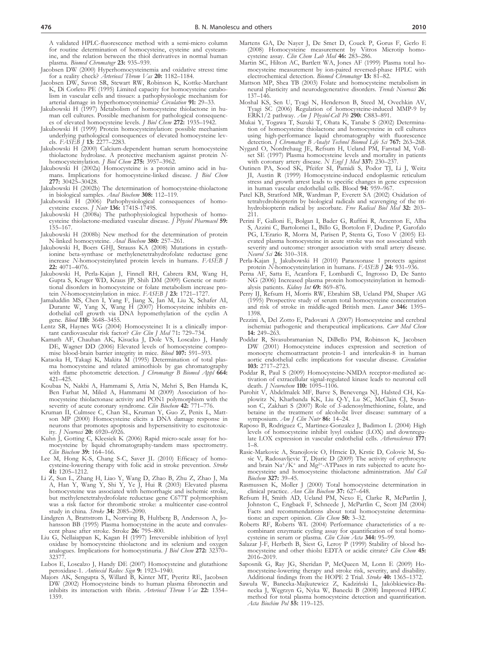A validated HPLC-fluorescence method with a semi-micro column for routine determination of homocysteine, cysteine and cysteamine, and the relation between the thiol derivatives in normal human plasma. *Biomed Chromatogr* **23:** 935–939.

- Jacobsen DW (2000) Hyperhomocysteinemia and oxidative stress**:** time for a reality check? *Arterioscl Throm Vas* **20:** 1182–1184.
- Jacobsen DW, Savon SR, Stewart RW, Robinson K, Kottke-Marchant K, Di Corleto PE (1995) Limited capacity for homocysteine catabolism in vascular cells and tissues: a pathophysiologic mechanism for arterial damage in hyperhomocysteinemia? *Circulation* **91:** 29–33.
- Jakubowski H (1997) Metabolism of homocysteine thiolactone in human cell cultures. Possible mechanism for pathological consequences of elevated homocysteine levels. *J Biol Chem* **272:** 1935–1942.
- Jakubowski H (1999) Protein homocysteinylation: possible mechanism underlying pathological consequences of elevated homocysteine levels. *FASEB J* **13:** 2277–2283.
- Jakubowski H (2000) Calcium-dependent human serum homocysteine thiolactone hydrolase. A protective mechanism against protein *N*homocysteinylation. *J Biol Chem* **275:** 3957–3962. Jakubowski H (2002a) Homocysteine is a protein amino acid in hu-
- mans. Implications for homocysteine-linked disease. *J Biol Chem* **277:** 30425–30428.
- Jakubowski H (2002b) The determination of homocysteine-thiolactone
- in biological samples. *Anal Biochem* **308:** 112–119. Jakubowski H (2006) Pathophysiological consequences of homocysteine excess. *J Nutr* **136:** 1741S-1749S.
- Jakubowski H (2008a) The pathophysiological hypothesis of homocysteine thiolactone-mediated vascular disease. *J Physiol Pharmacol* **59:** 155–167.
- Jakubowski H (2008b) New method for the determination of protein N-linked homocysteine. *Anal Biochem* **380:** 257–261.
- Jakubowski H, Boers GHJ, Strauss KA (2008) Mutations in cystathionine beta-synthase or methylenetetrahydrofolate reductase gene increase *N-*homocysteinylated protein levels in humans. *FASEB J* **22:** 4071–4076.
- Jakubowski H, Perla-Kajan J, Finnell RH, Cabrera RM, Wang H, Gupta S, Kruger WD, Kraus JP, Shih DM (2009) Genetic or nutritional disorders in homocysteine or folate metabolism increase protein *N-*homocysteinylation in mice. *FASEB J* **23:** 1721–1727.
- Jamaluddin MS, Chen I, Yang F, Jiang X, Jan M, Liu X, Schafer AI, Durante W, Yang X, Wang H (2007) Homocysteine inhibits endothelial cell growth via DNA hypomethylation of the cyclin A gene. *Blood* **110:** 3648–3455.
- Lentz SR, Haynes WG (2004) Homocysteine**:** It is a clinically important cardiovascular risk factor? *Clev Clin J Med* 71**:** 729–734.
- Kamath AF, Chauhan AK, Kisucka J, Dole VS, Loscalzo J, Handy DE, Wagner DD (2006) Elevated levels of homocysteine compromise blood-brain barrier integrity in mice. *Blood* **107:** 591–593.
- Kataoka H, Takagi K, Makita M (1995) Determination of total plasma homocysteine and related aminothiols by gas chromatography with flame photometric detection. *J Chromatogr B Biomed Appl* **664:** 421–425.
- Koubaa N, Nakbi A, Hammami S, Attia N, Mehri S, Ben Hamda K, Ben Farhat M, Miled A, Hammami M (2009) Association of homocysteine thiolactonase activity and PON1 polymorphism with the severity of acute coronary syndrome. *Clin Biochem* **42:** 771–776.
- Kruman II, Culmsee C, Chan SL, Kruman Y, Guo Z, Penix L, Mattson MP (2000) Homocysteine elicits a DNA damage response in neurons that promotes apoptosis and hypersensitivity to excitotoxicity. *J Neurosci* **20:** 6920–6926.
- Kuhn J, Gotting C, Kleesiek K (2006) Rapid micro-scale assay for homocysteine by liquid chromatography-tandem mass spectrometry. *Clin Biochem* **39:** 164–166.
- Lee M, Hong K-S, Chang S-C, Saver JL (2010) Efficacy of homocysteine-lowering therapy with folic acid in stroke prevention. *Stroke* **41:** 1205–1212.
- Li Z, Sun L, Zhang H, Liao Y, Wang D, Zhao B, Zhu Z, Zhao J, Ma A, Han Y, Wang Y, Shi Y, Ye J, Hui R (2003) Elevated plasma homocysteine was associated with hemorrhagic and ischemic stroke, but methylenetetrahydrofolate reductase gene C677T polymorphism was a risk factor for thrombotic stroke: a multicenter case-control study in china. *Stroke* **34:** 2085–2090.
- Lindgren A, Brattstrom L, Norrving B, Hultberg B, Andersson A, Johansson BB (1995) Plasma homocysteine in the acute and convalescent phase after stroke. Stroke **26:** 795–800.
- Liu G, Nellaiappan K, Kagan H (1997) Irreversible inhibition of lysyl oxidase by homocysteine thiolactone and its selenium and oxygen analogues. Implications for homocystinuria. *J Biol Chem* **272:** 32370– 3237
- Lubos E, Loscalzo J, Handy DE (2007) Homocysteine and glutathione peroxidase-1. *Antioxid Redox Sign* **9:** 1923–1940.
- Majors AK, Sengupta S, Willard B, Kinter MT, Pyeritz RE, Jacobsen DW (2002) Homocysteine binds to human plasma fibronectin and inhibits its interaction with fibrin. *Arterioscl Throm Vas* **22:** 1354– 1359.
- Martens GA, De Nayer J, De Smet D, Couck P, Gorus F, Gerlo E (2008) Homocysteine measurement by Vitros Microtip homocysteine assay. *Clin Chem Lab Med* **46:** 283–286.
- Martin SC, Hilton AC, Bartlett WA, Jones AF (1999) Plasma total homocysteine measurement by ion-paired reversed-phase HPLC with electrochemical detection. *Biomed Chromatogr* **13:** 81–82.
- Mattson MP, Shea TB (2003) Folate and homocysteine metabolism in neural plasticity and neurodegenerative disorders. *Trends Neurosci* **26:** 137–146.
- Moshal KS, Sen U, Tyagi N, Henderson B, Steed M, Ovechkin AV, Tyagi SC (2006) Regulation of homocysteine-induced MMP-9 by ERK1/2 pathway. *Am J Physiol-Cell Ph* **290:** C883–891. Mukai Y, Togawa T, Suzuki T, Ohata K, Tanabe S (2002) Determina-
- tion of homocysteine thiolactone and homocysteine in cell cultures using high-performance liquid chromatography with fluorescence detection*. J Chromatogr B Analyt Technol Biomed Life Sci* **767:** 263–268.
- Nygard O, Nordrehaug JE, Refsum H, Ueland PM, Farstad M, Vollset SE (1997) Plasma homocysteine levels and mortality in patients with coronary artery disease. *N Engl J Med* 337: 230–23<sup>7</sup>
- Outinen PA, Sood SK, Pfeifer SI, Pamidi S, Podor TJ, Li J, Weitz JI, Austin R (1999) Homocysteine-induced endoplasmic reticulum stress and growth arrest leads to specific changes in gene expression
- in human vascular endothelial cells. Blood **94:** 959–967. Patel KB, Stratford MR, Wardman P, Everett SA (2002) Oxidation of tetrahydrobiopterin by biological radicals and scavenging of the trihydrobiopterin radical by ascorbate. *Free Radical Biol Med* **32:** 203– 211.
- Perini F, Galloni E, Bolgan I, Bader G, Ruffini R, Arzenton E, Alba S, Azzini C, Bartolomei L, Billo G, Bortolon F, Dudine P, Garofalo PG, L'Erario R, Morra M, Parisen P, Stenta G, Toso V (2005) Elevated plasma homocysteine in acute stroke was not associated with severity and outcome: stronger association with small artery disease. *Neurol Sci* **26:** 310–318.
- Perla-Kajan J, Jakubowski H (2010) Paraoxonase 1 protects against protein *N-*homocysteinylation in humans. *FASEB J* **24:** 931–936.
- Perna AF, Satta E, Acanfora F, Lombardi C, Ingrosso D, De Santo NG (2006) Increased plasma protein homocysteinylation in hemodialysis patients. *Kidney Int* **69:** 869–876.
- Perry IJ, Refsum H, Morris RW, Ebrahim SB, Ueland PM, Shaper AG (1995) Prospective study of serum total homocysteine concentration and risk of stroke in middle-aged British men. *Lancet* **346:** 1395– 1398.
- Pezzini A, Del Zotto E, Padovani A (2007) Homocysteine and cerebral ischemia**:** pathogenic and therapeutical implications. *Curr Med Chem* **14:** 249–263.
- Poddar R, Sivasubramanian N, DiBello PM, Robinson K, Jacobsen DW (2001) Homocysteine induces expression and secretion of monocyte chemoattractant protein-1 and interleukin-8 in human aortic endothelial cells: implications for vascular disease. *Circulation* **103:** 2717–2723.
- Poddar R, Paul S (2009) Homocysteine-NMDA receptor-mediated activation of extracellular signal-regulated kinase leads to neuronal cell death. *J Neurochem* **110:** 1095–1106.
- Purohit V, Abdelmalek MF, Barve S, Benevenga NJ, Halsted CH, Kaplowitz N, Kharbanda KK, Liu Q-Y, Lu SC, McClain CJ, Swanson C, Zakhari S (2007) Role of *S*-adenosylmethionine, folate, and betaine in the treatment of alcoholic liver disease: summary of a symposium. *Am J Clin Nutr* **86:** 14–24.
- Raposo B, Rodriguez C, Martinez-Gonzalez J, Badimon L (2004) High levels of homocysteine inhibit lysyl oxidase (LOX) and downregulate LOX expression in vascular endothelial cells. *Atherosclerosis* **177:** 1–8.
- Rasic-Markovic A, Stanojlovic O, Hrncic D, Krstic D, Colovic M, Susic V, Radosavljevic T, Djuric D (2009) The activity of erythrocyte and brain Na+/K+ and Mg<sup>2+</sup>-ATPases in rats subjected to acute homocysteine and homocysteine thiolactone administration. *Mol Cell Biochem* **327:** 39–45.
- Rasmussen K, Moller J (2000) Total homocysteine determination in clinical practice. *Ann Clin Biochem* **37:** 627–648.
- Refsum H, Smith AD, Ueland PM, Nexo E, Clarke R, McPartlin Johnston C, Engbaek F, Schneede J, McPartlin C, Scott JM (2004) Facts and recommendations about total homocysteine determinations**:** an expert opinion. *Clin Chem* **50:** 3–32.
- Roberts RF, Roberts WL (2004) Performance characteristics of a recombinant enzymatic cycling assay for quantification of total homo-
- cysteine in serum or plasma. *Clin Chim Acta* **344:** 95–99. Salazar J-F, Herbeth B, Siest G, Leroy P (1999) Stability of blood homocysteine and other thiols**:** EDTA or acidic citrate? *Clin Chem* **45:** 2016–2019.
- Saposnik G, Ray JG, Sheridan P, McQueen M, Lonn E (2009) Homocysteine-lowering therapy and stroke risk, severity, and disability. Additional findings from the HOPE 2 Trial. *Stroke* **40:** 1365–1372.
- Sawuła W, Banecka-Majkutewicz Z, Kadziński L, Jakóbkiewicz-Banecka J, Węgrzyn G, Nyka W, Banecki B (2008) Improved HPLC method for total plasma homocysteine detection and quantification. *Acta Biochim Pol* **55:** 119–125.